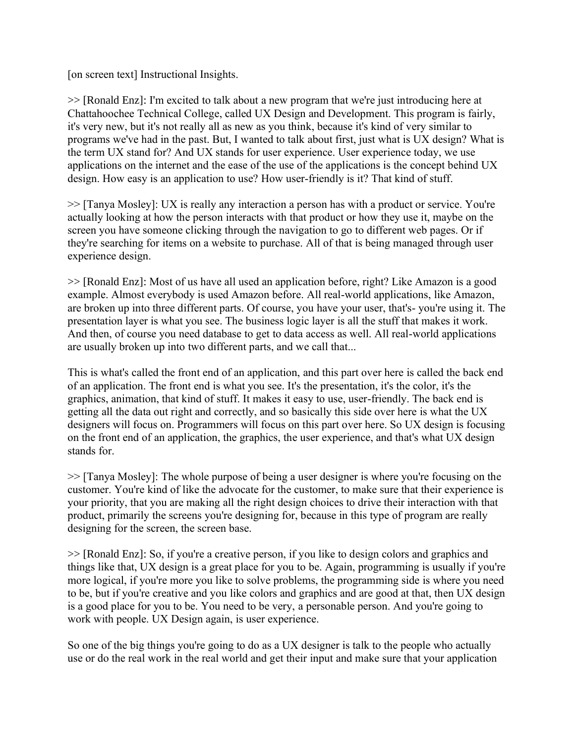[on screen text] Instructional Insights.

>> [Ronald Enz]: I'm excited to talk about a new program that we're just introducing here at Chattahoochee Technical College, called UX Design and Development. This program is fairly, it's very new, but it's not really all as new as you think, because it's kind of very similar to programs we've had in the past. But, I wanted to talk about first, just what is UX design? What is the term UX stand for? And UX stands for user experience. User experience today, we use applications on the internet and the ease of the use of the applications is the concept behind UX design. How easy is an application to use? How user-friendly is it? That kind of stuff.

>> [Tanya Mosley]: UX is really any interaction a person has with a product or service. You're actually looking at how the person interacts with that product or how they use it, maybe on the screen you have someone clicking through the navigation to go to different web pages. Or if they're searching for items on a website to purchase. All of that is being managed through user experience design.

>> [Ronald Enz]: Most of us have all used an application before, right? Like Amazon is a good example. Almost everybody is used Amazon before. All real-world applications, like Amazon, are broken up into three different parts. Of course, you have your user, that's- you're using it. The presentation layer is what you see. The business logic layer is all the stuff that makes it work. And then, of course you need database to get to data access as well. All real-world applications are usually broken up into two different parts, and we call that...

This is what's called the front end of an application, and this part over here is called the back end of an application. The front end is what you see. It's the presentation, it's the color, it's the graphics, animation, that kind of stuff. It makes it easy to use, user-friendly. The back end is getting all the data out right and correctly, and so basically this side over here is what the UX designers will focus on. Programmers will focus on this part over here. So UX design is focusing on the front end of an application, the graphics, the user experience, and that's what UX design stands for.

>> [Tanya Mosley]: The whole purpose of being a user designer is where you're focusing on the customer. You're kind of like the advocate for the customer, to make sure that their experience is your priority, that you are making all the right design choices to drive their interaction with that product, primarily the screens you're designing for, because in this type of program are really designing for the screen, the screen base.

>> [Ronald Enz]: So, if you're a creative person, if you like to design colors and graphics and things like that, UX design is a great place for you to be. Again, programming is usually if you're more logical, if you're more you like to solve problems, the programming side is where you need to be, but if you're creative and you like colors and graphics and are good at that, then UX design is a good place for you to be. You need to be very, a personable person. And you're going to work with people. UX Design again, is user experience.

So one of the big things you're going to do as a UX designer is talk to the people who actually use or do the real work in the real world and get their input and make sure that your application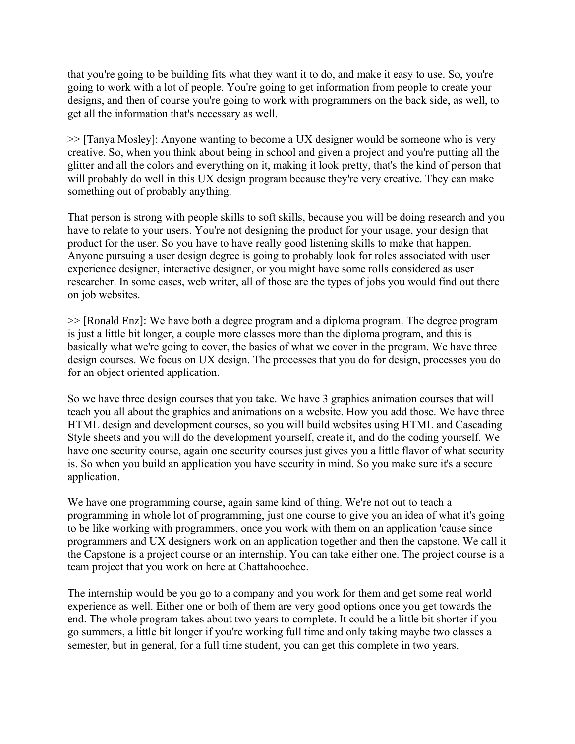that you're going to be building fits what they want it to do, and make it easy to use. So, you're going to work with a lot of people. You're going to get information from people to create your designs, and then of course you're going to work with programmers on the back side, as well, to get all the information that's necessary as well.

>> [Tanya Mosley]: Anyone wanting to become a UX designer would be someone who is very creative. So, when you think about being in school and given a project and you're putting all the glitter and all the colors and everything on it, making it look pretty, that's the kind of person that will probably do well in this UX design program because they're very creative. They can make something out of probably anything.

That person is strong with people skills to soft skills, because you will be doing research and you have to relate to your users. You're not designing the product for your usage, your design that product for the user. So you have to have really good listening skills to make that happen. Anyone pursuing a user design degree is going to probably look for roles associated with user experience designer, interactive designer, or you might have some rolls considered as user researcher. In some cases, web writer, all of those are the types of jobs you would find out there on job websites.

>> [Ronald Enz]: We have both a degree program and a diploma program. The degree program is just a little bit longer, a couple more classes more than the diploma program, and this is basically what we're going to cover, the basics of what we cover in the program. We have three design courses. We focus on UX design. The processes that you do for design, processes you do for an object oriented application.

So we have three design courses that you take. We have 3 graphics animation courses that will teach you all about the graphics and animations on a website. How you add those. We have three HTML design and development courses, so you will build websites using HTML and Cascading Style sheets and you will do the development yourself, create it, and do the coding yourself. We have one security course, again one security courses just gives you a little flavor of what security is. So when you build an application you have security in mind. So you make sure it's a secure application.

We have one programming course, again same kind of thing. We're not out to teach a programming in whole lot of programming, just one course to give you an idea of what it's going to be like working with programmers, once you work with them on an application 'cause since programmers and UX designers work on an application together and then the capstone. We call it the Capstone is a project course or an internship. You can take either one. The project course is a team project that you work on here at Chattahoochee.

The internship would be you go to a company and you work for them and get some real world experience as well. Either one or both of them are very good options once you get towards the end. The whole program takes about two years to complete. It could be a little bit shorter if you go summers, a little bit longer if you're working full time and only taking maybe two classes a semester, but in general, for a full time student, you can get this complete in two years.